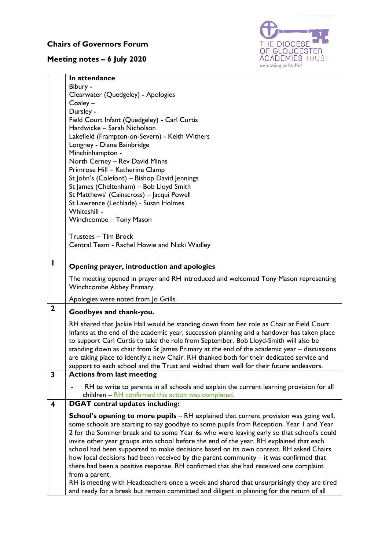## **Chairs of Governors Forum**

## **Meeting notes – 6 July 2020**



|              | In attendance                                                                                                                                                                           |
|--------------|-----------------------------------------------------------------------------------------------------------------------------------------------------------------------------------------|
|              | Bibury -<br>Clearwater (Quedgeley) - Apologies                                                                                                                                          |
|              | $Coaley -$                                                                                                                                                                              |
|              | Dursley -                                                                                                                                                                               |
|              | Field Court Infant (Quedgeley) - Carl Curtis                                                                                                                                            |
|              | Hardwicke - Sarah Nicholson                                                                                                                                                             |
|              | Lakefield (Frampton-on-Severn) - Keith Withers                                                                                                                                          |
|              | Longney - Diane Bainbridge                                                                                                                                                              |
|              | Minchinhampton -                                                                                                                                                                        |
|              | North Cerney - Rev David Minns                                                                                                                                                          |
|              | Primrose Hill - Katherine Clamp                                                                                                                                                         |
|              | St John's (Coleford) - Bishop David Jennings                                                                                                                                            |
|              | St James (Cheltenham) - Bob Lloyd Smith                                                                                                                                                 |
|              | St Matthews' (Cainscross) - Jacqui Powell<br>St Lawrence (Lechlade) - Susan Holmes                                                                                                      |
|              | Whiteshill -                                                                                                                                                                            |
|              | Winchcombe - Tony Mason                                                                                                                                                                 |
|              |                                                                                                                                                                                         |
|              | Trustees - Tim Brock                                                                                                                                                                    |
|              | Central Team - Rachel Howie and Nicki Wadley                                                                                                                                            |
|              |                                                                                                                                                                                         |
| I            | Opening prayer, introduction and apologies                                                                                                                                              |
|              | The meeting opened in prayer and RH introduced and welcomed Tony Mason representing                                                                                                     |
|              | Winchcombe Abbey Primary.                                                                                                                                                               |
|              | Apologies were noted from Jo Grills.                                                                                                                                                    |
| $\mathbf{2}$ |                                                                                                                                                                                         |
|              | Goodbyes and thank-you.                                                                                                                                                                 |
|              | RH shared that Jackie Hall would be standing down from her role as Chair at Field Court                                                                                                 |
|              | Infants at the end of the academic year, succession planning and a handover has taken place                                                                                             |
|              | to support Carl Curtis to take the role from September. Bob Lloyd-Smith will also be                                                                                                    |
|              | standing down as chair from St James Primary at the end of the academic year - discussions<br>are taking place to identify a new Chair. RH thanked both for their dedicated service and |
|              | support to each school and the Trust and wished them well for their future endeavors.                                                                                                   |
| 3            | <b>Actions from last meeting</b>                                                                                                                                                        |
|              | RH to write to parents in all schools and explain the current learning provision for all                                                                                                |
|              | children - RH confirmed this action was completed.                                                                                                                                      |
| 4            | <b>DGAT</b> central updates including:                                                                                                                                                  |
|              | <b>School's opening to more pupils</b> – RH explained that current provision was going well,                                                                                            |
|              | some schools are starting to say goodbye to some pupils from Reception, Year I and Year                                                                                                 |
|              | 2 for the Summer break and to some Year 6s who were leaving early so that school's could                                                                                                |
|              | invite other year groups into school before the end of the year. RH explained that each                                                                                                 |
|              | school had been supported to make decisions based on its own context. RH asked Chairs                                                                                                   |
|              | how local decisions had been received by the parent community - it was confirmed that                                                                                                   |
|              | there had been a positive response. RH confirmed that she had received one complaint                                                                                                    |
|              | from a parent.                                                                                                                                                                          |
|              | RH is meeting with Headteachers once a week and shared that unsurprisingly they are tired<br>and ready for a break but remain committed and diligent in planning for the return of all  |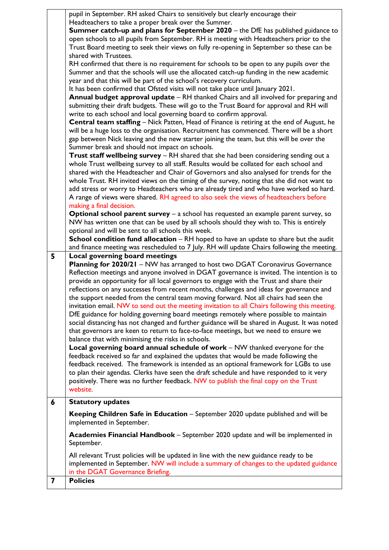|   | pupil in September. RH asked Chairs to sensitively but clearly encourage their                                                         |
|---|----------------------------------------------------------------------------------------------------------------------------------------|
|   | Headteachers to take a proper break over the Summer.                                                                                   |
|   | Summer catch-up and plans for September 2020 - the DfE has published guidance to                                                       |
|   | open schools to all pupils from September. RH is meeting with Headteachers prior to the                                                |
|   | Trust Board meeting to seek their views on fully re-opening in September so these can be                                               |
|   | shared with Trustees.                                                                                                                  |
|   | RH confirmed that there is no requirement for schools to be open to any pupils over the                                                |
|   | Summer and that the schools will use the allocated catch-up funding in the new academic                                                |
|   | year and that this will be part of the school's recovery curriculum.                                                                   |
|   | It has been confirmed that Ofsted visits will not take place until January 2021.                                                       |
|   | Annual budget approval update - RH thanked Chairs and all involved for preparing and                                                   |
|   | submitting their draft budgets. These will go to the Trust Board for approval and RH will                                              |
|   | write to each school and local governing board to confirm approval.                                                                    |
|   | Central team staffing - Nick Patten, Head of Finance is retiring at the end of August, he                                              |
|   | will be a huge loss to the organisation. Recruitment has commenced. There will be a short                                              |
|   | gap between Nick leaving and the new starter joining the team, but this will be over the                                               |
|   | Summer break and should not impact on schools.<br>Trust staff wellbeing survey - RH shared that she had been considering sending out a |
|   | whole Trust wellbeing survey to all staff. Results would be collated for each school and                                               |
|   | shared with the Headteacher and Chair of Governors and also analysed for trends for the                                                |
|   | whole Trust. RH invited views on the timing of the survey, noting that she did not want to                                             |
|   | add stress or worry to Headteachers who are already tired and who have worked so hard.                                                 |
|   | A range of views were shared. RH agreed to also seek the views of headteachers before                                                  |
|   | making a final decision.                                                                                                               |
|   | <b>Optional school parent survey - a school has requested an example parent survey, so</b>                                             |
|   | NW has written one that can be used by all schools should they wish to. This is entirely                                               |
|   | optional and will be sent to all schools this week.                                                                                    |
|   | School condition fund allocation - RH hoped to have an update to share but the audit                                                   |
|   | and finance meeting was rescheduled to 7 July. RH will update Chairs following the meeting.                                            |
| 5 | Local governing board meetings                                                                                                         |
|   |                                                                                                                                        |
|   | Planning for 2020/21 - NW has arranged to host two DGAT Coronavirus Governance                                                         |
|   | Reflection meetings and anyone involved in DGAT governance is invited. The intention is to                                             |
|   | provide an opportunity for all local governors to engage with the Trust and share their                                                |
|   | reflections on any successes from recent months, challenges and ideas for governance and                                               |
|   | the support needed from the central team moving forward. Not all chairs had seen the                                                   |
|   | invitation email. NW to send out the meeting invitation to all Chairs following this meeting.                                          |
|   | DfE guidance for holding governing board meetings remotely where possible to maintain                                                  |
|   | social distancing has not changed and further guidance will be shared in August. It was noted                                          |
|   | that governors are keen to return to face-to-face meetings, but we need to ensure we                                                   |
|   | balance that with minimising the risks in schools.                                                                                     |
|   | Local governing board annual schedule of work - NW thanked everyone for the                                                            |
|   | feedback received so far and explained the updates that would be made following the                                                    |
|   | feedback received. The framework is intended as an optional framework for LGBs to use                                                  |
|   | to plan their agendas. Clerks have seen the draft schedule and have responded to it very                                               |
|   | positively. There was no further feedback. NW to publish the final copy on the Trust                                                   |
|   | website.                                                                                                                               |
| 6 | <b>Statutory updates</b>                                                                                                               |
|   | Keeping Children Safe in Education - September 2020 update published and will be<br>implemented in September.                          |
|   | Academies Financial Handbook - September 2020 update and will be implemented in<br>September.                                          |
|   | All relevant Trust policies will be updated in line with the new guidance ready to be                                                  |
|   | implemented in September. NW will include a summary of changes to the updated guidance<br>in the DGAT Governance Briefing.             |
| 7 | <b>Policies</b>                                                                                                                        |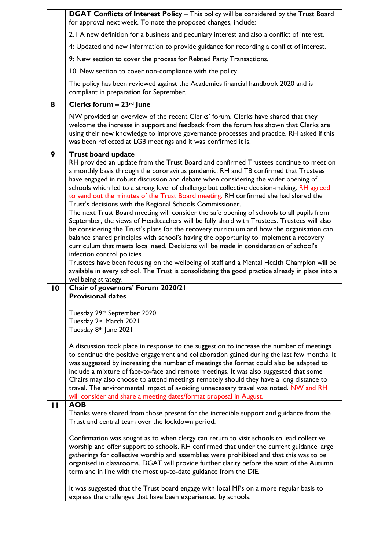|                | DGAT Conflicts of Interest Policy - This policy will be considered by the Trust Board<br>for approval next week. To note the proposed changes, include:                                                                                                                                                                                                                                                                                                                                                                                                                                                                                                                                                                                                                                                                                                                                                                                                                                                                                                                                                                                                                                                                                                      |
|----------------|--------------------------------------------------------------------------------------------------------------------------------------------------------------------------------------------------------------------------------------------------------------------------------------------------------------------------------------------------------------------------------------------------------------------------------------------------------------------------------------------------------------------------------------------------------------------------------------------------------------------------------------------------------------------------------------------------------------------------------------------------------------------------------------------------------------------------------------------------------------------------------------------------------------------------------------------------------------------------------------------------------------------------------------------------------------------------------------------------------------------------------------------------------------------------------------------------------------------------------------------------------------|
|                | 2.1 A new definition for a business and pecuniary interest and also a conflict of interest.                                                                                                                                                                                                                                                                                                                                                                                                                                                                                                                                                                                                                                                                                                                                                                                                                                                                                                                                                                                                                                                                                                                                                                  |
|                | 4: Updated and new information to provide guidance for recording a conflict of interest.                                                                                                                                                                                                                                                                                                                                                                                                                                                                                                                                                                                                                                                                                                                                                                                                                                                                                                                                                                                                                                                                                                                                                                     |
|                | 9: New section to cover the process for Related Party Transactions.                                                                                                                                                                                                                                                                                                                                                                                                                                                                                                                                                                                                                                                                                                                                                                                                                                                                                                                                                                                                                                                                                                                                                                                          |
|                | 10. New section to cover non-compliance with the policy.                                                                                                                                                                                                                                                                                                                                                                                                                                                                                                                                                                                                                                                                                                                                                                                                                                                                                                                                                                                                                                                                                                                                                                                                     |
|                | The policy has been reviewed against the Academies financial handbook 2020 and is<br>compliant in preparation for September.                                                                                                                                                                                                                                                                                                                                                                                                                                                                                                                                                                                                                                                                                                                                                                                                                                                                                                                                                                                                                                                                                                                                 |
| 8              | Clerks forum - 23rd June                                                                                                                                                                                                                                                                                                                                                                                                                                                                                                                                                                                                                                                                                                                                                                                                                                                                                                                                                                                                                                                                                                                                                                                                                                     |
|                | NW provided an overview of the recent Clerks' forum. Clerks have shared that they<br>welcome the increase in support and feedback from the forum has shown that Clerks are<br>using their new knowledge to improve governance processes and practice. RH asked if this<br>was been reflected at LGB meetings and it was confirmed it is.                                                                                                                                                                                                                                                                                                                                                                                                                                                                                                                                                                                                                                                                                                                                                                                                                                                                                                                     |
| 9              | <b>Trust board update</b><br>RH provided an update from the Trust Board and confirmed Trustees continue to meet on<br>a monthly basis through the coronavirus pandemic. RH and TB confirmed that Trustees<br>have engaged in robust discussion and debate when considering the wider opening of<br>schools which led to a strong level of challenge but collective decision-making. RH agreed<br>to send out the minutes of the Trust Board meeting. RH confirmed she had shared the<br>Trust's decisions with the Regional Schools Commissioner.<br>The next Trust Board meeting will consider the safe opening of schools to all pupils from<br>September, the views of Headteachers will be fully shard with Trustees. Trustees will also<br>be considering the Trust's plans for the recovery curriculum and how the organisation can<br>balance shared principles with school's having the opportunity to implement a recovery<br>curriculum that meets local need. Decisions will be made in consideration of school's<br>infection control policies.<br>Trustees have been focusing on the wellbeing of staff and a Mental Health Champion will be<br>available in every school. The Trust is consolidating the good practice already in place into a |
| $\overline{0}$ | wellbeing strategy.<br>Chair of governors' Forum 2020/21                                                                                                                                                                                                                                                                                                                                                                                                                                                                                                                                                                                                                                                                                                                                                                                                                                                                                                                                                                                                                                                                                                                                                                                                     |
|                | <b>Provisional dates</b><br>Tuesday 29th September 2020<br>Tuesday 2 <sup>nd</sup> March 2021<br>Tuesday 8th June 2021                                                                                                                                                                                                                                                                                                                                                                                                                                                                                                                                                                                                                                                                                                                                                                                                                                                                                                                                                                                                                                                                                                                                       |
|                | A discussion took place in response to the suggestion to increase the number of meetings<br>to continue the positive engagement and collaboration gained during the last few months. It<br>was suggested by increasing the number of meetings the format could also be adapted to<br>include a mixture of face-to-face and remote meetings. It was also suggested that some<br>Chairs may also choose to attend meetings remotely should they have a long distance to<br>travel. The environmental impact of avoiding unnecessary travel was noted. NW and RH<br>will consider and share a meeting dates/format proposal in August.                                                                                                                                                                                                                                                                                                                                                                                                                                                                                                                                                                                                                          |
| $\mathbf{H}$   | <b>AOB</b><br>Thanks were shared from those present for the incredible support and guidance from the<br>Trust and central team over the lockdown period.                                                                                                                                                                                                                                                                                                                                                                                                                                                                                                                                                                                                                                                                                                                                                                                                                                                                                                                                                                                                                                                                                                     |
|                | Confirmation was sought as to when clergy can return to visit schools to lead collective<br>worship and offer support to schools. RH confirmed that under the current guidance large<br>gatherings for collective worship and assemblies were prohibited and that this was to be<br>organised in classrooms. DGAT will provide further clarity before the start of the Autumn<br>term and in line with the most up-to-date guidance from the DfE.                                                                                                                                                                                                                                                                                                                                                                                                                                                                                                                                                                                                                                                                                                                                                                                                            |
|                | It was suggested that the Trust board engage with local MPs on a more regular basis to<br>express the challenges that have been experienced by schools.                                                                                                                                                                                                                                                                                                                                                                                                                                                                                                                                                                                                                                                                                                                                                                                                                                                                                                                                                                                                                                                                                                      |